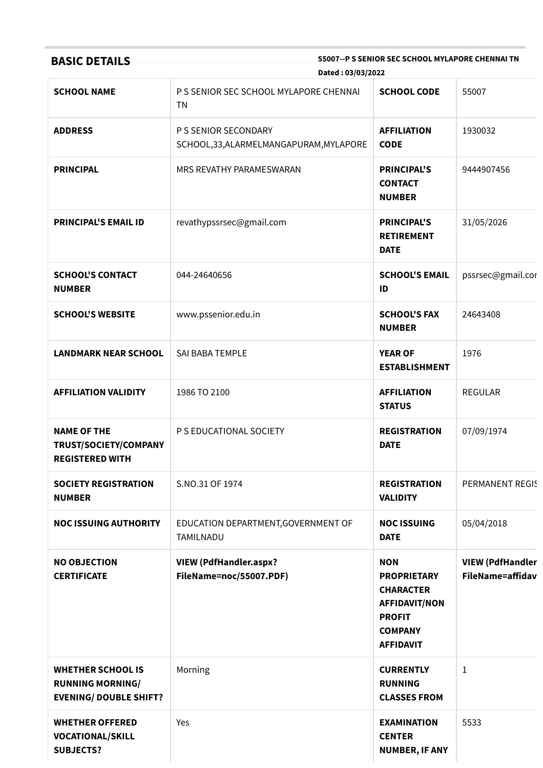| <b>BASIC DETAILS</b>                                                                 | 55007--P S SENIOR SEC SCHOOL MYLAPORE CHENNAI TN<br>Dated: 03/03/2022 |                                                                                                                                     |                                             |  |
|--------------------------------------------------------------------------------------|-----------------------------------------------------------------------|-------------------------------------------------------------------------------------------------------------------------------------|---------------------------------------------|--|
| <b>SCHOOL NAME</b>                                                                   | P S SENIOR SEC SCHOOL MYLAPORE CHENNAI<br><b>TN</b>                   | <b>SCHOOL CODE</b>                                                                                                                  | 55007                                       |  |
| <b>ADDRESS</b>                                                                       | P S SENIOR SECONDARY<br>SCHOOL,33,ALARMELMANGAPURAM,MYLAPORE          | <b>AFFILIATION</b><br><b>CODE</b>                                                                                                   | 1930032                                     |  |
| <b>PRINCIPAL</b>                                                                     | MRS REVATHY PARAMESWARAN                                              | <b>PRINCIPAL'S</b><br><b>CONTACT</b><br><b>NUMBER</b>                                                                               | 9444907456                                  |  |
| <b>PRINCIPAL'S EMAIL ID</b>                                                          | revathypssrsec@gmail.com                                              | <b>PRINCIPAL'S</b><br><b>RETIREMENT</b><br><b>DATE</b>                                                                              | 31/05/2026                                  |  |
| <b>SCHOOL'S CONTACT</b><br><b>NUMBER</b>                                             | 044-24640656                                                          | <b>SCHOOL'S EMAIL</b><br>ID                                                                                                         | pssrsec@gmail.cor                           |  |
| <b>SCHOOL'S WEBSITE</b>                                                              | www.pssenior.edu.in                                                   | <b>SCHOOL'S FAX</b><br><b>NUMBER</b>                                                                                                | 24643408                                    |  |
| <b>LANDMARK NEAR SCHOOL</b>                                                          | SAI BABA TEMPLE                                                       | <b>YEAR OF</b><br><b>ESTABLISHMENT</b>                                                                                              | 1976                                        |  |
| <b>AFFILIATION VALIDITY</b>                                                          | 1986 TO 2100                                                          | <b>AFFILIATION</b><br><b>STATUS</b>                                                                                                 | <b>REGULAR</b>                              |  |
| <b>NAME OF THE</b><br>TRUST/SOCIETY/COMPANY<br><b>REGISTERED WITH</b>                | P S EDUCATIONAL SOCIETY                                               | <b>REGISTRATION</b><br><b>DATE</b>                                                                                                  | 07/09/1974                                  |  |
| <b>SOCIETY REGISTRATION</b><br><b>NUMBER</b>                                         | S.NO.31 OF 1974                                                       | <b>REGISTRATION</b><br><b>VALIDITY</b>                                                                                              | PERMANENT REGIS                             |  |
| <b>NOC ISSUING AUTHORITY</b>                                                         | EDUCATION DEPARTMENT, GOVERNMENT OF<br><b>TAMILNADU</b>               | <b>NOC ISSUING</b><br><b>DATE</b>                                                                                                   | 05/04/2018                                  |  |
| <b>NO OBJECTION</b><br><b>CERTIFICATE</b>                                            | <b>VIEW (PdfHandler.aspx?</b><br>FileName=noc/55007.PDF)              | <b>NON</b><br><b>PROPRIETARY</b><br><b>CHARACTER</b><br><b>AFFIDAVIT/NON</b><br><b>PROFIT</b><br><b>COMPANY</b><br><b>AFFIDAVIT</b> | <b>VIEW (PdfHandler</b><br>FileName=affidav |  |
| <b>WHETHER SCHOOL IS</b><br><b>RUNNING MORNING/</b><br><b>EVENING/ DOUBLE SHIFT?</b> | Morning                                                               | <b>CURRENTLY</b><br><b>RUNNING</b><br><b>CLASSES FROM</b>                                                                           | $\mathbf{1}$                                |  |
| <b>WHETHER OFFERED</b><br><b>VOCATIONAL/SKILL</b><br><b>SUBJECTS?</b>                | Yes                                                                   | <b>EXAMINATION</b><br><b>CENTER</b><br><b>NUMBER, IF ANY</b>                                                                        | 5533                                        |  |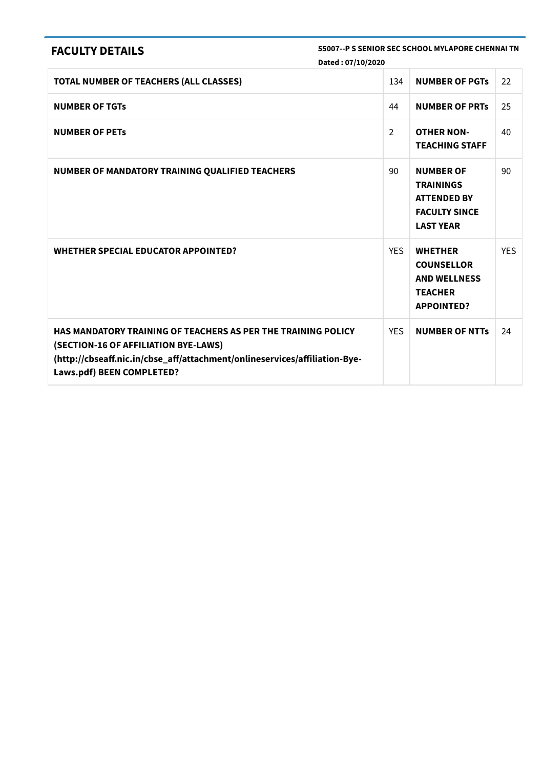| <b>FACULTY DETAILS</b>                                                                                                                                                                                           | 55007--P S SENIOR SEC SCHOOL MYLAPORE CHENNAI TN<br>Dated: 07/10/2020 |                                                                                                        |            |
|------------------------------------------------------------------------------------------------------------------------------------------------------------------------------------------------------------------|-----------------------------------------------------------------------|--------------------------------------------------------------------------------------------------------|------------|
| <b>TOTAL NUMBER OF TEACHERS (ALL CLASSES)</b>                                                                                                                                                                    | 134                                                                   | <b>NUMBER OF PGTs</b>                                                                                  | 22         |
| <b>NUMBER OF TGTs</b>                                                                                                                                                                                            | 44                                                                    | <b>NUMBER OF PRTS</b>                                                                                  | 25         |
| <b>NUMBER OF PETS</b>                                                                                                                                                                                            | $\overline{2}$                                                        | <b>OTHER NON-</b><br><b>TEACHING STAFF</b>                                                             | 40         |
| NUMBER OF MANDATORY TRAINING QUALIFIED TEACHERS                                                                                                                                                                  | 90                                                                    | <b>NUMBER OF</b><br><b>TRAININGS</b><br><b>ATTENDED BY</b><br><b>FACULTY SINCE</b><br><b>LAST YEAR</b> | 90         |
| <b>WHETHER SPECIAL EDUCATOR APPOINTED?</b>                                                                                                                                                                       | <b>YES</b>                                                            | <b>WHETHER</b><br><b>COUNSELLOR</b><br><b>AND WELLNESS</b><br><b>TEACHER</b><br><b>APPOINTED?</b>      | <b>YES</b> |
| HAS MANDATORY TRAINING OF TEACHERS AS PER THE TRAINING POLICY<br>(SECTION-16 OF AFFILIATION BYE-LAWS)<br>(http://cbseaff.nic.in/cbse_aff/attachment/onlineservices/affiliation-Bye-<br>Laws.pdf) BEEN COMPLETED? | <b>YFS</b>                                                            | <b>NUMBER OF NTTs</b>                                                                                  | 24         |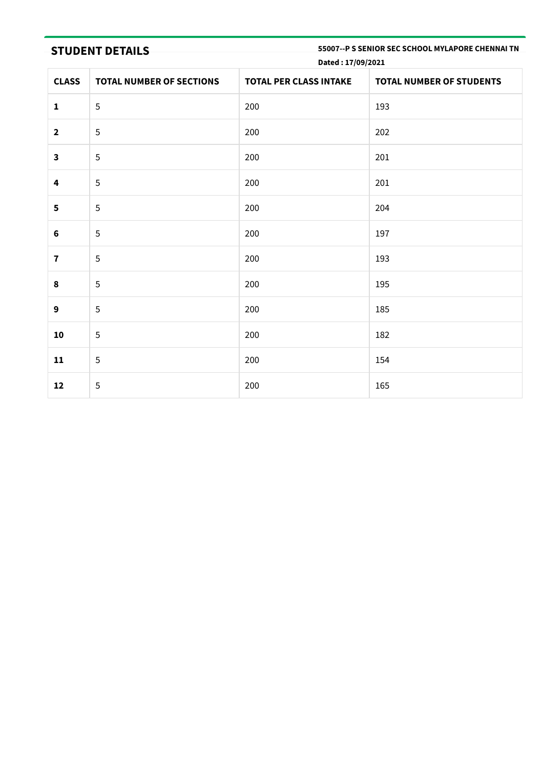**STUDENT DETAILS 55007--P <sup>S</sup> SENIOR SEC SCHOOL MYLAPORE CHENNAI TN**

|                         | Dated: 17/09/2021               |                               |                                 |  |  |
|-------------------------|---------------------------------|-------------------------------|---------------------------------|--|--|
| <b>CLASS</b>            | <b>TOTAL NUMBER OF SECTIONS</b> | <b>TOTAL PER CLASS INTAKE</b> | <b>TOTAL NUMBER OF STUDENTS</b> |  |  |
| $\mathbf 1$             | $\sqrt{5}$                      | 200                           | 193                             |  |  |
| $\mathbf{2}$            | $\sqrt{5}$                      | 200                           | 202                             |  |  |
| $\mathbf{3}$            | $\sqrt{5}$                      | 200                           | 201                             |  |  |
| 4                       | 5                               | 200                           | 201                             |  |  |
| 5                       | 5                               | 200                           | 204                             |  |  |
| $\bf 6$                 | $\sqrt{5}$                      | 200                           | 197                             |  |  |
| $\overline{\mathbf{r}}$ | 5                               | 200                           | 193                             |  |  |
| $\pmb{8}$               | $\sqrt{5}$                      | 200                           | 195                             |  |  |
| $\boldsymbol{9}$        | $\sqrt{5}$                      | 200                           | 185                             |  |  |
| 10                      | $\sqrt{5}$                      | 200                           | 182                             |  |  |
| ${\bf 11}$              | 5                               | 200                           | 154                             |  |  |
| 12                      | $\mathsf S$                     | 200                           | 165                             |  |  |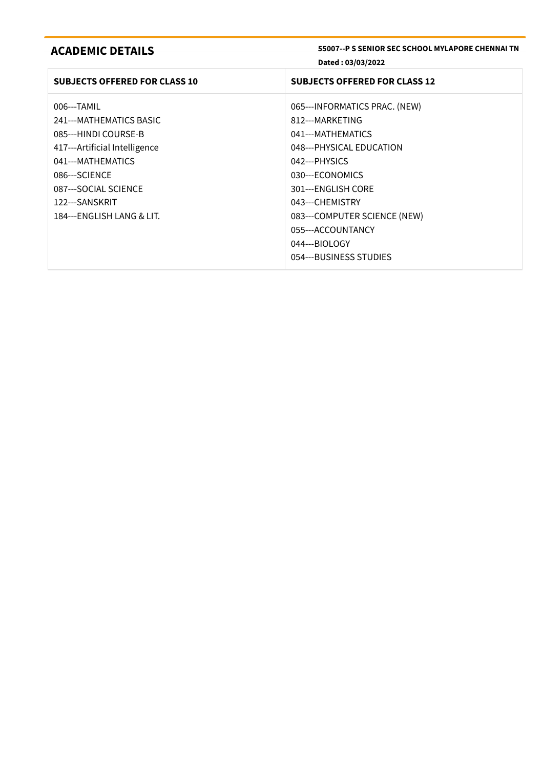**ACADEMIC DETAILS 55007--P <sup>S</sup> SENIOR SEC SCHOOL MYLAPORE CHENNAI TN Dated : 03/03/2022**

| <b>SUBJECTS OFFERED FOR CLASS 10</b> | <b>SUBJECTS OFFERED FOR CLASS 12</b> |
|--------------------------------------|--------------------------------------|
| 006---TAMIL                          | 065--- INFORMATICS PRAC. (NEW)       |
| 241---MATHEMATICS BASIC              | 812---MARKETING                      |
| 085---HINDI COURSE-B                 | 041---MATHEMATICS                    |
| 417---Artificial Intelligence        | 048--- PHYSICAL EDUCATION            |
| 041---MATHEMATICS                    | 042---PHYSICS                        |
| 086---SCIENCE                        | 030---FCONOMICS                      |
| 087---SOCIAL SCIENCE                 | 301---ENGLISH CORE                   |
| 122---SANSKRIT                       | 043---CHEMISTRY                      |
| 184---ENGLISH LANG & LIT.            | 083---COMPUTER SCIENCE (NEW)         |
|                                      | 055---ACCOUNTANCY                    |
|                                      | 044---BIOLOGY                        |
|                                      | 054---BUSINESS STUDIES               |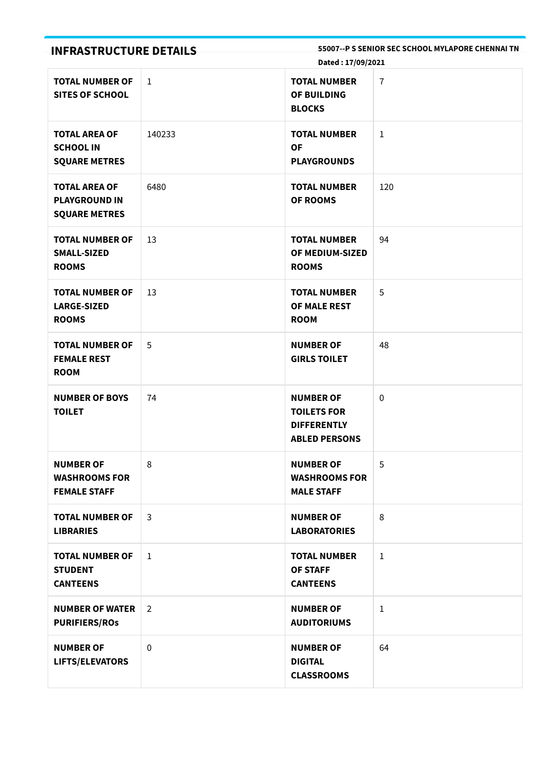| <b>INFRASTRUCTURE DETAILS</b>                                        |              | Dated: 17/09/2021                                                                    | 55007--P S SENIOR SEC SCHOOL MYLAPORE CHENNAI TN |
|----------------------------------------------------------------------|--------------|--------------------------------------------------------------------------------------|--------------------------------------------------|
| <b>TOTAL NUMBER OF</b><br><b>SITES OF SCHOOL</b>                     | 1            | <b>TOTAL NUMBER</b><br>OF BUILDING<br><b>BLOCKS</b>                                  | $\overline{1}$                                   |
| <b>TOTAL AREA OF</b><br><b>SCHOOL IN</b><br><b>SQUARE METRES</b>     | 140233       | <b>TOTAL NUMBER</b><br><b>OF</b><br><b>PLAYGROUNDS</b>                               | $\mathbf{1}$                                     |
| <b>TOTAL AREA OF</b><br><b>PLAYGROUND IN</b><br><b>SQUARE METRES</b> | 6480         | <b>TOTAL NUMBER</b><br><b>OF ROOMS</b>                                               | 120                                              |
| <b>TOTAL NUMBER OF</b><br><b>SMALL-SIZED</b><br><b>ROOMS</b>         | 13           | <b>TOTAL NUMBER</b><br>OF MEDIUM-SIZED<br><b>ROOMS</b>                               | 94                                               |
| <b>TOTAL NUMBER OF</b><br><b>LARGE-SIZED</b><br><b>ROOMS</b>         | 13           | <b>TOTAL NUMBER</b><br>OF MALE REST<br><b>ROOM</b>                                   | 5                                                |
| <b>TOTAL NUMBER OF</b><br><b>FEMALE REST</b><br><b>ROOM</b>          | 5            | <b>NUMBER OF</b><br><b>GIRLS TOILET</b>                                              | 48                                               |
| <b>NUMBER OF BOYS</b><br><b>TOILET</b>                               | 74           | <b>NUMBER OF</b><br><b>TOILETS FOR</b><br><b>DIFFERENTLY</b><br><b>ABLED PERSONS</b> | $\mathbf 0$                                      |
| <b>NUMBER OF</b><br><b>WASHROOMS FOR</b><br><b>FEMALE STAFF</b>      | 8            | <b>NUMBER OF</b><br><b>WASHROOMS FOR</b><br><b>MALE STAFF</b>                        | 5                                                |
| <b>TOTAL NUMBER OF</b><br><b>LIBRARIES</b>                           | 3            | <b>NUMBER OF</b><br><b>LABORATORIES</b>                                              | 8                                                |
| <b>TOTAL NUMBER OF</b><br><b>STUDENT</b><br><b>CANTEENS</b>          | $\mathbf{1}$ | <b>TOTAL NUMBER</b><br><b>OF STAFF</b><br><b>CANTEENS</b>                            | $\mathbf{1}$                                     |
| <b>NUMBER OF WATER</b><br><b>PURIFIERS/ROS</b>                       | 2            | <b>NUMBER OF</b><br><b>AUDITORIUMS</b>                                               | $\mathbf{1}$                                     |
| <b>NUMBER OF</b><br>LIFTS/ELEVATORS                                  | 0            | <b>NUMBER OF</b><br><b>DIGITAL</b><br><b>CLASSROOMS</b>                              | 64                                               |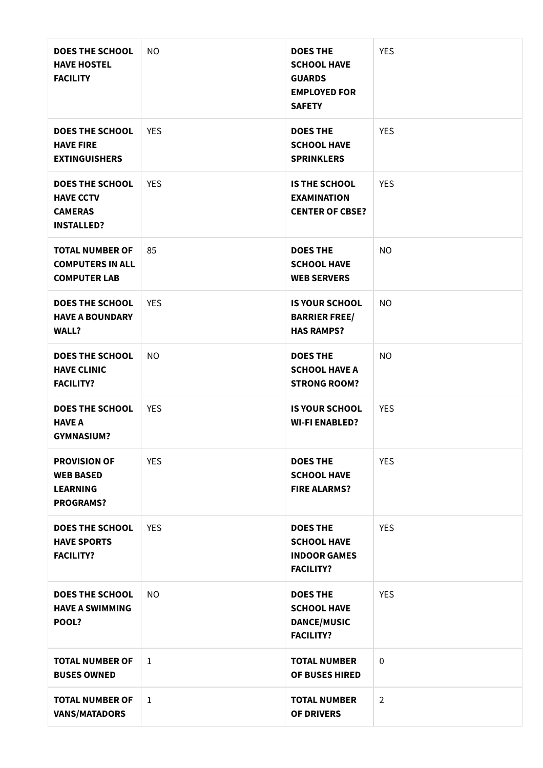| <b>DOES THE SCHOOL</b><br><b>HAVE HOSTEL</b><br><b>FACILITY</b>                   | NO.          | <b>DOES THE</b><br><b>SCHOOL HAVE</b><br><b>GUARDS</b><br><b>EMPLOYED FOR</b><br><b>SAFETY</b> | <b>YES</b>     |
|-----------------------------------------------------------------------------------|--------------|------------------------------------------------------------------------------------------------|----------------|
| <b>DOES THE SCHOOL</b><br><b>HAVE FIRE</b><br><b>EXTINGUISHERS</b>                | <b>YES</b>   | <b>DOES THE</b><br><b>SCHOOL HAVE</b><br><b>SPRINKLERS</b>                                     | <b>YES</b>     |
| <b>DOES THE SCHOOL</b><br><b>HAVE CCTV</b><br><b>CAMERAS</b><br><b>INSTALLED?</b> | <b>YES</b>   | <b>IS THE SCHOOL</b><br><b>EXAMINATION</b><br><b>CENTER OF CBSE?</b>                           | <b>YES</b>     |
| <b>TOTAL NUMBER OF</b><br><b>COMPUTERS IN ALL</b><br><b>COMPUTER LAB</b>          | 85           | <b>DOES THE</b><br><b>SCHOOL HAVE</b><br><b>WEB SERVERS</b>                                    | NO.            |
| <b>DOES THE SCHOOL</b><br><b>HAVE A BOUNDARY</b><br><b>WALL?</b>                  | <b>YES</b>   | <b>IS YOUR SCHOOL</b><br><b>BARRIER FREE/</b><br><b>HAS RAMPS?</b>                             | NO.            |
| <b>DOES THE SCHOOL</b><br><b>HAVE CLINIC</b><br><b>FACILITY?</b>                  | NO.          | <b>DOES THE</b><br><b>SCHOOL HAVE A</b><br><b>STRONG ROOM?</b>                                 | NO.            |
| <b>DOES THE SCHOOL</b><br><b>HAVE A</b><br><b>GYMNASIUM?</b>                      | <b>YES</b>   | <b>IS YOUR SCHOOL</b><br><b>WI-FI ENABLED?</b>                                                 | <b>YES</b>     |
| <b>PROVISION OF</b><br><b>WEB BASED</b><br><b>LEARNING</b><br><b>PROGRAMS?</b>    | <b>YES</b>   | <b>DOES THE</b><br><b>SCHOOL HAVE</b><br><b>FIRE ALARMS?</b>                                   | <b>YES</b>     |
| <b>DOES THE SCHOOL</b><br><b>HAVE SPORTS</b><br><b>FACILITY?</b>                  | <b>YES</b>   | <b>DOES THE</b><br><b>SCHOOL HAVE</b><br><b>INDOOR GAMES</b><br><b>FACILITY?</b>               | <b>YES</b>     |
| <b>DOES THE SCHOOL</b><br><b>HAVE A SWIMMING</b><br>POOL?                         | NO.          | <b>DOES THE</b><br><b>SCHOOL HAVE</b><br><b>DANCE/MUSIC</b><br><b>FACILITY?</b>                | <b>YES</b>     |
| <b>TOTAL NUMBER OF</b><br><b>BUSES OWNED</b>                                      | $\mathbf{1}$ | <b>TOTAL NUMBER</b><br><b>OF BUSES HIRED</b>                                                   | $\mathbf 0$    |
| <b>TOTAL NUMBER OF</b><br><b>VANS/MATADORS</b>                                    | $\mathbf{1}$ | <b>TOTAL NUMBER</b><br><b>OF DRIVERS</b>                                                       | $\overline{2}$ |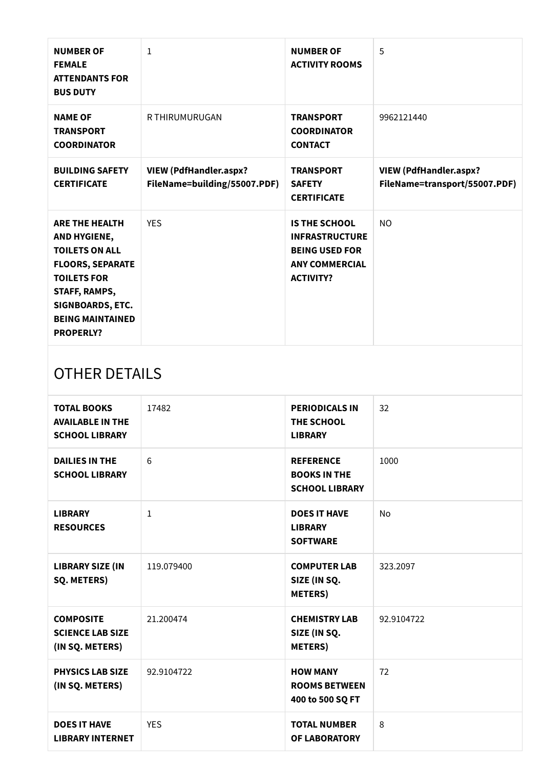| <b>NUMBER OF</b><br><b>FEMALE</b><br><b>ATTENDANTS FOR</b><br><b>BUS DUTY</b>                                                                                                                              | $\mathbf{1}$                                                  | <b>NUMBER OF</b><br><b>ACTIVITY ROOMS</b>                                                                           | 5                                                              |
|------------------------------------------------------------------------------------------------------------------------------------------------------------------------------------------------------------|---------------------------------------------------------------|---------------------------------------------------------------------------------------------------------------------|----------------------------------------------------------------|
| <b>NAME OF</b><br><b>TRANSPORT</b><br><b>COORDINATOR</b>                                                                                                                                                   | R THIRUMURUGAN                                                | <b>TRANSPORT</b><br><b>COORDINATOR</b><br><b>CONTACT</b>                                                            | 9962121440                                                     |
| <b>BUILDING SAFETY</b><br><b>CERTIFICATE</b>                                                                                                                                                               | <b>VIEW (PdfHandler.aspx?</b><br>FileName=building/55007.PDF) | <b>TRANSPORT</b><br><b>SAFETY</b><br><b>CERTIFICATE</b>                                                             | <b>VIEW (PdfHandler.aspx?</b><br>FileName=transport/55007.PDF) |
| <b>ARE THE HEALTH</b><br>AND HYGIENE,<br><b>TOILETS ON ALL</b><br><b>FLOORS, SEPARATE</b><br><b>TOILETS FOR</b><br><b>STAFF, RAMPS,</b><br>SIGNBOARDS, ETC.<br><b>BEING MAINTAINED</b><br><b>PROPERLY?</b> | <b>YES</b>                                                    | <b>IS THE SCHOOL</b><br><b>INFRASTRUCTURE</b><br><b>BEING USED FOR</b><br><b>ANY COMMERCIAL</b><br><b>ACTIVITY?</b> | <b>NO</b>                                                      |
| <b>OTHER DETAILS</b>                                                                                                                                                                                       |                                                               |                                                                                                                     |                                                                |
| <b>TOTAL BOOKS</b><br><b>AVAILABLE IN THE</b><br><b>SCHOOL LIBRARY</b>                                                                                                                                     | 17482                                                         | <b>PERIODICALS IN</b><br>THE SCHOOL<br><b>LIBRARY</b>                                                               | 32                                                             |
| <b>DAILIES IN THE</b><br><b>SCHOOL LIBRARY</b>                                                                                                                                                             | $6\,$                                                         | <b>REFERENCE</b><br><b>BOOKS IN THE</b><br><b>SCHOOL LIBRARY</b>                                                    | 1000                                                           |
| <b>LIBRARY</b><br><b>RESOURCES</b>                                                                                                                                                                         | $\mathbf{1}$                                                  | <b>DOES IT HAVE</b><br><b>LIBRARY</b>                                                                               | No                                                             |

| LIBRARY<br><b>RESOURCES</b>                                    | $\perp$    | <b>DOES IT HAVE</b><br><b>LIBRARY</b><br><b>SOFTWARE</b>    | NO.        |
|----------------------------------------------------------------|------------|-------------------------------------------------------------|------------|
| <b>LIBRARY SIZE (IN</b><br>SQ. METERS)                         | 119.079400 | <b>COMPUTER LAB</b><br>SIZE (IN SQ.<br><b>METERS</b> )      | 323.2097   |
| <b>COMPOSITE</b><br><b>SCIENCE LAB SIZE</b><br>(IN SQ. METERS) | 21.200474  | <b>CHEMISTRY LAB</b><br>SIZE (IN SQ.<br><b>METERS</b> )     | 92.9104722 |
| <b>PHYSICS LAB SIZE</b><br>(IN SQ. METERS)                     | 92.9104722 | <b>HOW MANY</b><br><b>ROOMS BETWEEN</b><br>400 to 500 SQ FT | 72         |
| <b>DOES IT HAVE</b><br><b>LIBRARY INTERNET</b>                 | <b>YES</b> | <b>TOTAL NUMBER</b><br><b>OF LABORATORY</b>                 | 8          |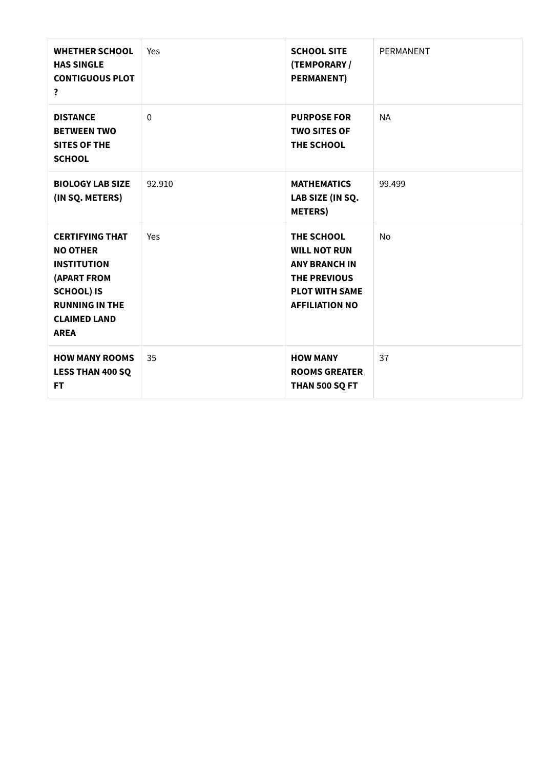| <b>WHETHER SCHOOL</b><br><b>HAS SINGLE</b><br><b>CONTIGUOUS PLOT</b><br>?                                                                                                 | Yes          | <b>SCHOOL SITE</b><br>(TEMPORARY /<br><b>PERMANENT)</b>                                                                            | PERMANENT |
|---------------------------------------------------------------------------------------------------------------------------------------------------------------------------|--------------|------------------------------------------------------------------------------------------------------------------------------------|-----------|
| <b>DISTANCE</b><br><b>BETWEEN TWO</b><br><b>SITES OF THE</b><br><b>SCHOOL</b>                                                                                             | $\mathbf{0}$ | <b>PURPOSE FOR</b><br><b>TWO SITES OF</b><br>THE SCHOOL                                                                            | <b>NA</b> |
| <b>BIOLOGY LAB SIZE</b><br>(IN SQ. METERS)                                                                                                                                | 92.910       | <b>MATHEMATICS</b><br>LAB SIZE (IN SQ.<br><b>METERS</b> )                                                                          | 99.499    |
| <b>CERTIFYING THAT</b><br><b>NO OTHER</b><br><b>INSTITUTION</b><br><b>(APART FROM</b><br><b>SCHOOL) IS</b><br><b>RUNNING IN THE</b><br><b>CLAIMED LAND</b><br><b>AREA</b> | Yes          | THE SCHOOL<br><b>WILL NOT RUN</b><br><b>ANY BRANCH IN</b><br><b>THE PREVIOUS</b><br><b>PLOT WITH SAME</b><br><b>AFFILIATION NO</b> | <b>No</b> |
| <b>HOW MANY ROOMS</b><br><b>LESS THAN 400 SQ</b><br><b>FT</b>                                                                                                             | 35           | <b>HOW MANY</b><br><b>ROOMS GREATER</b><br><b>THAN 500 SQ FT</b>                                                                   | 37        |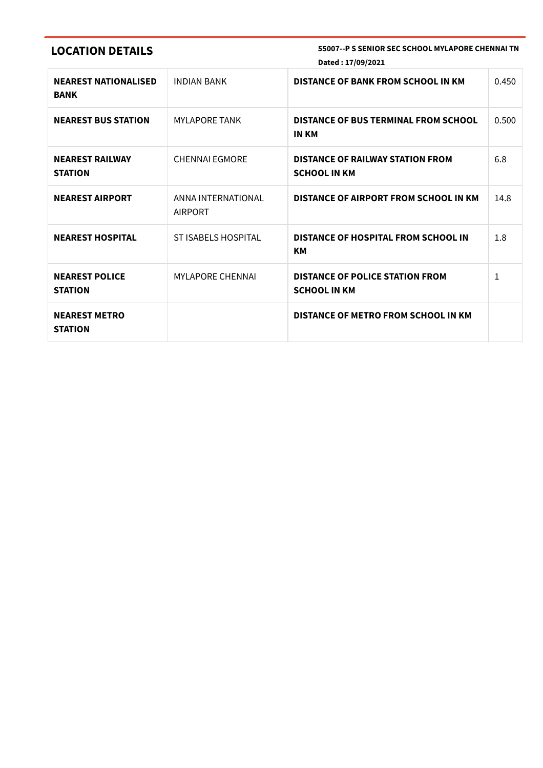**LOCATION DETAILS 55007--P <sup>S</sup> SENIOR SEC SCHOOL MYLAPORE CHENNAI TN**

|                                            |                                      | Dated: 17/09/2021                                              |       |
|--------------------------------------------|--------------------------------------|----------------------------------------------------------------|-------|
| <b>NEAREST NATIONALISED</b><br><b>BANK</b> | <b>INDIAN BANK</b>                   | DISTANCE OF BANK FROM SCHOOL IN KM                             | 0.450 |
| <b>NEAREST BUS STATION</b>                 | <b>MYLAPORE TANK</b>                 | <b>DISTANCE OF BUS TERMINAL FROM SCHOOL</b><br>IN KM           | 0.500 |
| <b>NEAREST RAILWAY</b><br><b>STATION</b>   | <b>CHENNAI EGMORE</b>                | <b>DISTANCE OF RAILWAY STATION FROM</b><br><b>SCHOOL IN KM</b> | 6.8   |
| <b>NEAREST AIRPORT</b>                     | ANNA INTERNATIONAL<br><b>AIRPORT</b> | DISTANCE OF AIRPORT FROM SCHOOL IN KM                          | 14.8  |
| <b>NEAREST HOSPITAL</b>                    | ST ISABELS HOSPITAL                  | DISTANCE OF HOSPITAL FROM SCHOOL IN<br>KМ                      | 1.8   |
| <b>NEAREST POLICE</b><br><b>STATION</b>    | <b>MYLAPORE CHENNAL</b>              | DISTANCE OF POLICE STATION FROM<br><b>SCHOOL IN KM</b>         | 1     |
| <b>NEAREST METRO</b><br><b>STATION</b>     |                                      | DISTANCE OF METRO FROM SCHOOL IN KM                            |       |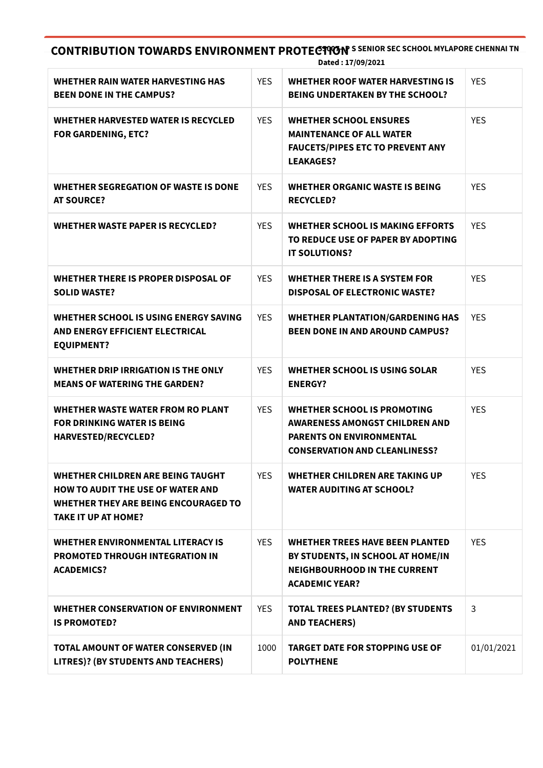**CONTRIBUTION TOWARDS ENVIRONMENT PROTECTION** S SENIOR SEC SCHOOL MYLAPORE CHENNAI TN **Dated : 17/09/2021**

| WHETHER RAIN WATER HARVESTING HAS<br><b>BEEN DONE IN THE CAMPUS?</b>                                                                                | <b>YES</b> | <b>WHETHER ROOF WATER HARVESTING IS</b><br><b>BEING UNDERTAKEN BY THE SCHOOL?</b>                                                                      | <b>YES</b> |
|-----------------------------------------------------------------------------------------------------------------------------------------------------|------------|--------------------------------------------------------------------------------------------------------------------------------------------------------|------------|
| <b>WHETHER HARVESTED WATER IS RECYCLED</b><br><b>FOR GARDENING, ETC?</b>                                                                            | <b>YES</b> | <b>WHETHER SCHOOL ENSURES</b><br><b>MAINTENANCE OF ALL WATER</b><br><b>FAUCETS/PIPES ETC TO PREVENT ANY</b><br><b>LEAKAGES?</b>                        | <b>YES</b> |
| WHETHER SEGREGATION OF WASTE IS DONE<br><b>AT SOURCE?</b>                                                                                           | <b>YES</b> | <b>WHETHER ORGANIC WASTE IS BEING</b><br><b>RECYCLED?</b>                                                                                              | <b>YES</b> |
| <b>WHETHER WASTE PAPER IS RECYCLED?</b>                                                                                                             | <b>YES</b> | <b>WHETHER SCHOOL IS MAKING EFFORTS</b><br>TO REDUCE USE OF PAPER BY ADOPTING<br>IT SOLUTIONS?                                                         | <b>YES</b> |
| WHETHER THERE IS PROPER DISPOSAL OF<br><b>SOLID WASTE?</b>                                                                                          | <b>YES</b> | <b>WHETHER THERE IS A SYSTEM FOR</b><br><b>DISPOSAL OF ELECTRONIC WASTE?</b>                                                                           | <b>YES</b> |
| WHETHER SCHOOL IS USING ENERGY SAVING<br>AND ENERGY EFFICIENT ELECTRICAL<br><b>EQUIPMENT?</b>                                                       | <b>YES</b> | <b>WHETHER PLANTATION/GARDENING HAS</b><br><b>BEEN DONE IN AND AROUND CAMPUS?</b>                                                                      | <b>YES</b> |
| WHETHER DRIP IRRIGATION IS THE ONLY<br><b>MEANS OF WATERING THE GARDEN?</b>                                                                         | <b>YES</b> | WHETHER SCHOOL IS USING SOLAR<br><b>ENERGY?</b>                                                                                                        | <b>YES</b> |
| <b>WHETHER WASTE WATER FROM RO PLANT</b><br><b>FOR DRINKING WATER IS BEING</b><br>HARVESTED/RECYCLED?                                               | <b>YES</b> | <b>WHETHER SCHOOL IS PROMOTING</b><br><b>AWARENESS AMONGST CHILDREN AND</b><br><b>PARENTS ON ENVIRONMENTAL</b><br><b>CONSERVATION AND CLEANLINESS?</b> | <b>YES</b> |
| WHETHER CHILDREN ARE BEING TAUGHT<br><b>HOW TO AUDIT THE USE OF WATER AND</b><br>WHETHER THEY ARE BEING ENCOURAGED TO<br><b>TAKE IT UP AT HOME?</b> | <b>YES</b> | <b>WHETHER CHILDREN ARE TAKING UP</b><br><b>WATER AUDITING AT SCHOOL?</b>                                                                              | <b>YES</b> |
| WHETHER ENVIRONMENTAL LITERACY IS<br><b>PROMOTED THROUGH INTEGRATION IN</b><br><b>ACADEMICS?</b>                                                    | <b>YES</b> | <b>WHETHER TREES HAVE BEEN PLANTED</b><br>BY STUDENTS, IN SCHOOL AT HOME/IN<br><b>NEIGHBOURHOOD IN THE CURRENT</b><br><b>ACADEMIC YEAR?</b>            | <b>YES</b> |
| <b>WHETHER CONSERVATION OF ENVIRONMENT</b><br><b>IS PROMOTED?</b>                                                                                   | <b>YES</b> | <b>TOTAL TREES PLANTED? (BY STUDENTS</b><br><b>AND TEACHERS)</b>                                                                                       | 3          |
| TOTAL AMOUNT OF WATER CONSERVED (IN<br>LITRES)? (BY STUDENTS AND TEACHERS)                                                                          | 1000       | <b>TARGET DATE FOR STOPPING USE OF</b><br><b>POLYTHENE</b>                                                                                             | 01/01/2021 |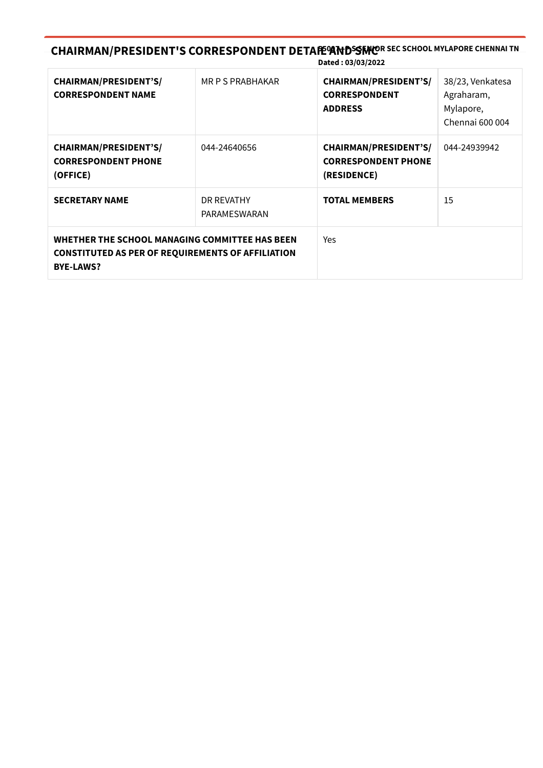**CHAIRMAN/PRESIDENT'S CORRESPONDENT DETAFEºANDSSFMOR SEC SCHOOL MYLAPORE CHENNAI TN Dated : 03/03/2022**

| <b>CHAIRMAN/PRESIDENT'S/</b><br><b>CORRESPONDENT NAME</b>                                                                      | MR P S PRABHAKAR           | <b>CHAIRMAN/PRESIDENT'S/</b><br><b>CORRESPONDENT</b><br><b>ADDRESS</b>    | 38/23, Venkatesa<br>Agraharam,<br>Mylapore,<br>Chennai 600 004 |
|--------------------------------------------------------------------------------------------------------------------------------|----------------------------|---------------------------------------------------------------------------|----------------------------------------------------------------|
| <b>CHAIRMAN/PRESIDENT'S/</b><br><b>CORRESPONDENT PHONE</b><br>(OFFICE)                                                         | 044-24640656               | <b>CHAIRMAN/PRESIDENT'S/</b><br><b>CORRESPONDENT PHONE</b><br>(RESIDENCE) | 044-24939942                                                   |
| <b>SECRETARY NAME</b>                                                                                                          | DR REVATHY<br>PARAMESWARAN | <b>TOTAL MEMBERS</b>                                                      | 15                                                             |
| WHETHER THE SCHOOL MANAGING COMMITTEE HAS BEEN<br><b>CONSTITUTED AS PER OF REQUIREMENTS OF AFFILIATION</b><br><b>BYE-LAWS?</b> |                            | Yes                                                                       |                                                                |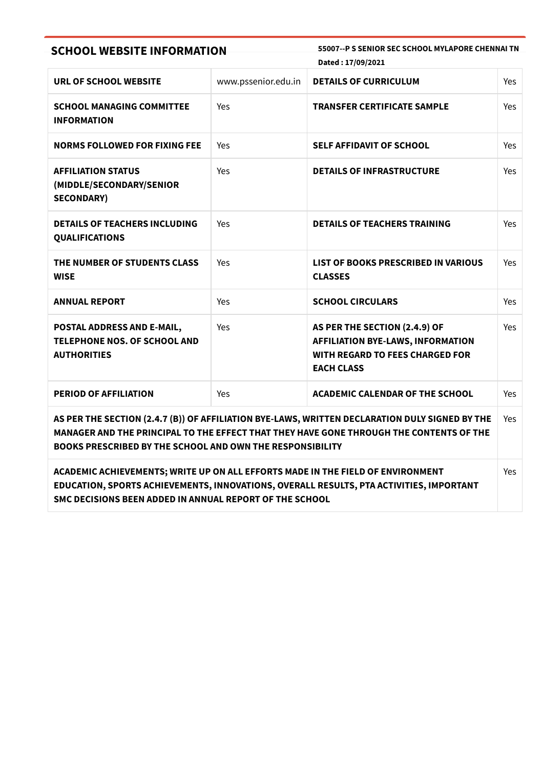| 55007--P S SENIOR SEC SCHOOL MYLAPORE CHENNAI TN<br><b>SCHOOL WEBSITE INFORMATION</b><br>Dated: 17/09/2021                                                                                                                                                    |                     |                                                                                                                                          |            |  |
|---------------------------------------------------------------------------------------------------------------------------------------------------------------------------------------------------------------------------------------------------------------|---------------------|------------------------------------------------------------------------------------------------------------------------------------------|------------|--|
| URL OF SCHOOL WEBSITE                                                                                                                                                                                                                                         | www.pssenior.edu.in | <b>DETAILS OF CURRICULUM</b>                                                                                                             | <b>Yes</b> |  |
| <b>SCHOOL MANAGING COMMITTEE</b><br><b>INFORMATION</b>                                                                                                                                                                                                        | Yes                 | <b>TRANSFER CERTIFICATE SAMPLE</b>                                                                                                       | Yes        |  |
| <b>NORMS FOLLOWED FOR FIXING FEE</b>                                                                                                                                                                                                                          | Yes                 | <b>SELF AFFIDAVIT OF SCHOOL</b>                                                                                                          | Yes        |  |
| <b>AFFILIATION STATUS</b><br>(MIDDLE/SECONDARY/SENIOR<br><b>SECONDARY)</b>                                                                                                                                                                                    | Yes                 | <b>DETAILS OF INFRASTRUCTURE</b>                                                                                                         | <b>Yes</b> |  |
| <b>DETAILS OF TEACHERS INCLUDING</b><br><b>QUALIFICATIONS</b>                                                                                                                                                                                                 | Yes                 | <b>DETAILS OF TEACHERS TRAINING</b>                                                                                                      | Yes        |  |
| THE NUMBER OF STUDENTS CLASS<br><b>WISE</b>                                                                                                                                                                                                                   | Yes                 | LIST OF BOOKS PRESCRIBED IN VARIOUS<br><b>CLASSES</b>                                                                                    | <b>Yes</b> |  |
| <b>ANNUAL REPORT</b>                                                                                                                                                                                                                                          | Yes                 | <b>SCHOOL CIRCULARS</b>                                                                                                                  | <b>Yes</b> |  |
| POSTAL ADDRESS AND E-MAIL,<br><b>TELEPHONE NOS. OF SCHOOL AND</b><br><b>AUTHORITIES</b>                                                                                                                                                                       | Yes                 | AS PER THE SECTION (2.4.9) OF<br><b>AFFILIATION BYE-LAWS, INFORMATION</b><br><b>WITH REGARD TO FEES CHARGED FOR</b><br><b>EACH CLASS</b> | Yes        |  |
| <b>PERIOD OF AFFILIATION</b>                                                                                                                                                                                                                                  | Yes                 | <b>ACADEMIC CALENDAR OF THE SCHOOL</b>                                                                                                   | Yes        |  |
| AS PER THE SECTION (2.4.7 (B)) OF AFFILIATION BYE-LAWS, WRITTEN DECLARATION DULY SIGNED BY THE<br>MANAGER AND THE PRINCIPAL TO THE EFFECT THAT THEY HAVE GONE THROUGH THE CONTENTS OF THE<br><b>BOOKS PRESCRIBED BY THE SCHOOL AND OWN THE RESPONSIBILITY</b> |                     |                                                                                                                                          |            |  |
| ACADEMIC ACHIEVEMENTS; WRITE UP ON ALL EFFORTS MADE IN THE FIELD OF ENVIRONMENT<br>EDUCATION, SPORTS ACHIEVEMENTS, INNOVATIONS, OVERALL RESULTS, PTA ACTIVITIES, IMPORTANT<br>SMC DECISIONS BEEN ADDED IN ANNUAL REPORT OF THE SCHOOL                         |                     |                                                                                                                                          |            |  |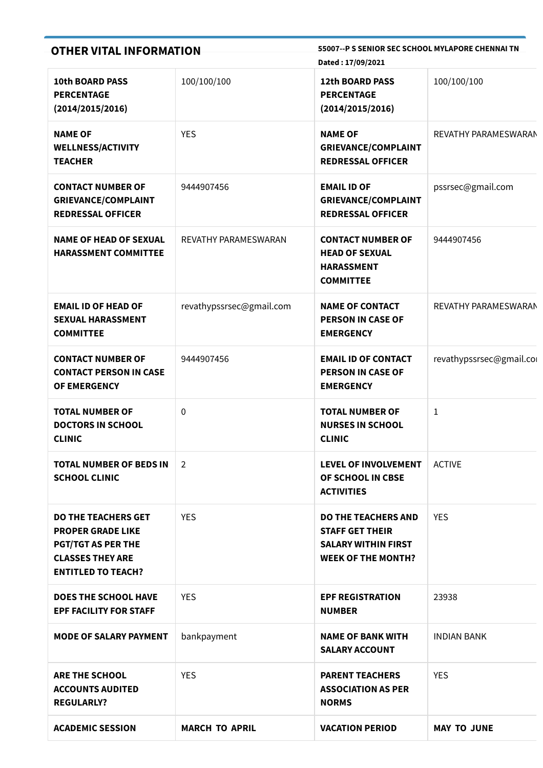| <b>OTHER VITAL INFORMATION</b>                                                                                                              |                          | 55007--P S SENIOR SEC SCHOOL MYLAPORE CHENNAI TN<br>Dated: 17/09/2021                                           |                          |  |  |
|---------------------------------------------------------------------------------------------------------------------------------------------|--------------------------|-----------------------------------------------------------------------------------------------------------------|--------------------------|--|--|
| <b>10th BOARD PASS</b><br><b>PERCENTAGE</b><br>(2014/2015/2016)                                                                             | 100/100/100              | <b>12th BOARD PASS</b><br><b>PERCENTAGE</b><br>(2014/2015/2016)                                                 | 100/100/100              |  |  |
| <b>NAME OF</b><br><b>WELLNESS/ACTIVITY</b><br><b>TEACHER</b>                                                                                | <b>YES</b>               | <b>NAME OF</b><br><b>GRIEVANCE/COMPLAINT</b><br><b>REDRESSAL OFFICER</b>                                        | REVATHY PARAMESWARAN     |  |  |
| <b>CONTACT NUMBER OF</b><br><b>GRIEVANCE/COMPLAINT</b><br><b>REDRESSAL OFFICER</b>                                                          | 9444907456               | <b>EMAIL ID OF</b><br><b>GRIEVANCE/COMPLAINT</b><br><b>REDRESSAL OFFICER</b>                                    | pssrsec@gmail.com        |  |  |
| <b>NAME OF HEAD OF SEXUAL</b><br><b>HARASSMENT COMMITTEE</b>                                                                                | REVATHY PARAMESWARAN     | <b>CONTACT NUMBER OF</b><br><b>HEAD OF SEXUAL</b><br><b>HARASSMENT</b><br><b>COMMITTEE</b>                      | 9444907456               |  |  |
| <b>EMAIL ID OF HEAD OF</b><br><b>SEXUAL HARASSMENT</b><br><b>COMMITTEE</b>                                                                  | revathypssrsec@gmail.com | <b>NAME OF CONTACT</b><br><b>PERSON IN CASE OF</b><br><b>EMERGENCY</b>                                          | REVATHY PARAMESWARAN     |  |  |
| <b>CONTACT NUMBER OF</b><br><b>CONTACT PERSON IN CASE</b><br>OF EMERGENCY                                                                   | 9444907456               | <b>EMAIL ID OF CONTACT</b><br><b>PERSON IN CASE OF</b><br><b>EMERGENCY</b>                                      | revathypssrsec@gmail.cor |  |  |
| <b>TOTAL NUMBER OF</b><br><b>DOCTORS IN SCHOOL</b><br><b>CLINIC</b>                                                                         | 0                        | <b>TOTAL NUMBER OF</b><br><b>NURSES IN SCHOOL</b><br><b>CLINIC</b>                                              | 1                        |  |  |
| <b>TOTAL NUMBER OF BEDS IN</b><br><b>SCHOOL CLINIC</b>                                                                                      | 2                        | <b>LEVEL OF INVOLVEMENT</b><br>OF SCHOOL IN CBSE<br><b>ACTIVITIES</b>                                           | <b>ACTIVE</b>            |  |  |
| <b>DO THE TEACHERS GET</b><br><b>PROPER GRADE LIKE</b><br><b>PGT/TGT AS PER THE</b><br><b>CLASSES THEY ARE</b><br><b>ENTITLED TO TEACH?</b> | <b>YES</b>               | <b>DO THE TEACHERS AND</b><br><b>STAFF GET THEIR</b><br><b>SALARY WITHIN FIRST</b><br><b>WEEK OF THE MONTH?</b> | <b>YES</b>               |  |  |
| <b>DOES THE SCHOOL HAVE</b><br><b>EPF FACILITY FOR STAFF</b>                                                                                | <b>YES</b>               | <b>EPF REGISTRATION</b><br><b>NUMBER</b>                                                                        | 23938                    |  |  |
| <b>MODE OF SALARY PAYMENT</b>                                                                                                               | bankpayment              | <b>NAME OF BANK WITH</b><br><b>SALARY ACCOUNT</b>                                                               | <b>INDIAN BANK</b>       |  |  |
| <b>ARE THE SCHOOL</b><br><b>ACCOUNTS AUDITED</b><br><b>REGULARLY?</b>                                                                       | <b>YES</b>               | <b>PARENT TEACHERS</b><br><b>ASSOCIATION AS PER</b><br><b>NORMS</b>                                             | <b>YES</b>               |  |  |
| <b>ACADEMIC SESSION</b>                                                                                                                     | <b>MARCH TO APRIL</b>    | <b>VACATION PERIOD</b>                                                                                          | <b>MAY TO JUNE</b>       |  |  |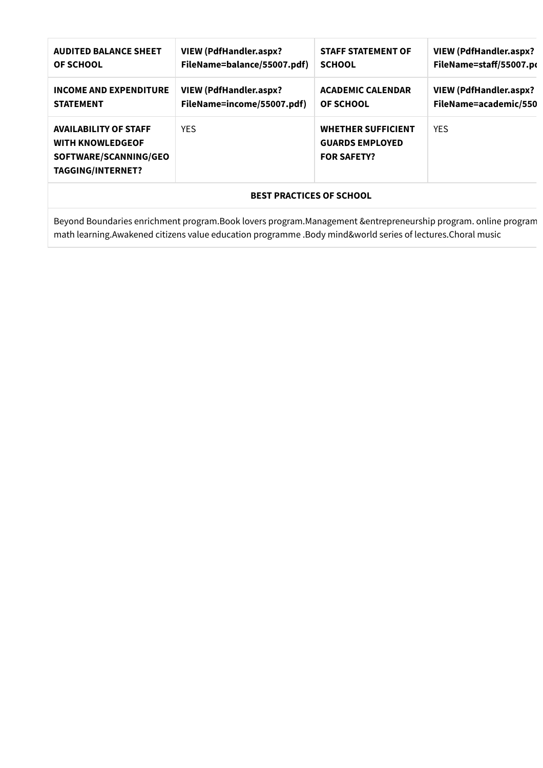| <b>AUDITED BALANCE SHEET</b>                                                                                 | <b>VIEW (PdfHandler.aspx?</b>   | <b>STAFF STATEMENT OF</b>                                                 | <b>VIEW (PdfHandler.aspx?</b> |  |  |  |
|--------------------------------------------------------------------------------------------------------------|---------------------------------|---------------------------------------------------------------------------|-------------------------------|--|--|--|
| <b>OF SCHOOL</b>                                                                                             | FileName=balance/55007.pdf)     | <b>SCHOOL</b>                                                             | FileName=staff/55007.po       |  |  |  |
| <b>INCOME AND EXPENDITURE</b>                                                                                | <b>VIEW (PdfHandler.aspx?</b>   | <b>ACADEMIC CALENDAR</b>                                                  | <b>VIEW (PdfHandler.aspx?</b> |  |  |  |
| <b>STATEMENT</b>                                                                                             | FileName=income/55007.pdf)      | <b>OF SCHOOL</b>                                                          | FileName=academic/550         |  |  |  |
| <b>AVAILABILITY OF STAFF</b><br><b>WITH KNOWLEDGEOF</b><br>SOFTWARE/SCANNING/GEO<br><b>TAGGING/INTERNET?</b> | <b>YFS</b>                      | <b>WHETHER SUFFICIENT</b><br><b>GUARDS EMPLOYED</b><br><b>FOR SAFETY?</b> | <b>YES</b>                    |  |  |  |
|                                                                                                              | <b>BEST PRACTICES OF SCHOOL</b> |                                                                           |                               |  |  |  |

Beyond Boundaries enrichment program.Book lovers program.Management &entrepreneurship program. online program math learning.Awakened citizens value education programme .Body mind&world series of lectures.Choral music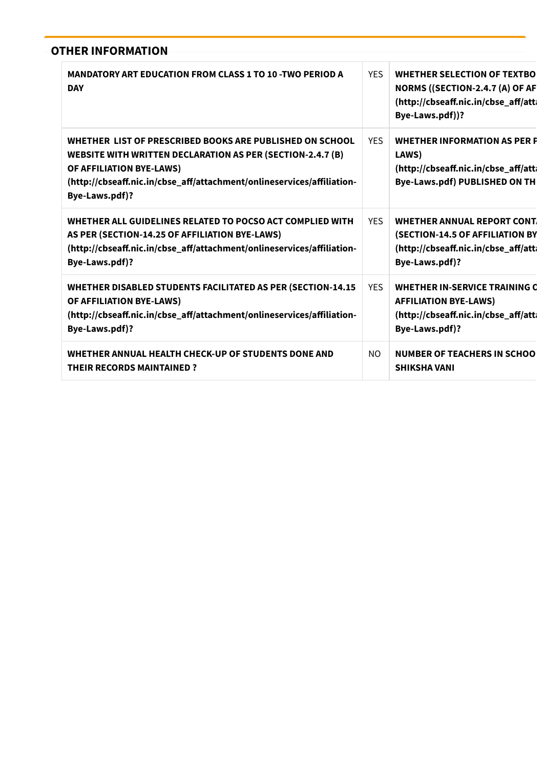# **OTHER INFORMATION**

| <b>MANDATORY ART EDUCATION FROM CLASS 1 TO 10 -TWO PERIOD A</b><br><b>DAY</b>                                                                                                                                                                         | <b>YFS</b> | <b>WHETHER SELECTION OF TEXTBO</b><br>NORMS ((SECTION-2.4.7 (A) OF AF<br>(http://cbseaff.nic.in/cbse_aff/att<br>Bye-Laws.pdf))? |
|-------------------------------------------------------------------------------------------------------------------------------------------------------------------------------------------------------------------------------------------------------|------------|---------------------------------------------------------------------------------------------------------------------------------|
| WHETHER LIST OF PRESCRIBED BOOKS ARE PUBLISHED ON SCHOOL<br><b>WEBSITE WITH WRITTEN DECLARATION AS PER (SECTION-2.4.7 (B)</b><br>OF AFFILIATION BYE-LAWS)<br>(http://cbseaff.nic.in/cbse_aff/attachment/onlineservices/affiliation-<br>Bye-Laws.pdf)? | <b>YFS</b> | <b>WHETHER INFORMATION AS PER F</b><br>LAWS)<br>(http://cbseaff.nic.in/cbse_aff/att<br>Bye-Laws.pdf) PUBLISHED ON TH            |
| WHETHER ALL GUIDELINES RELATED TO POCSO ACT COMPLIED WITH<br>AS PER (SECTION-14.25 OF AFFILIATION BYE-LAWS)<br>(http://cbseaff.nic.in/cbse_aff/attachment/onlineservices/affiliation-<br>Bye-Laws.pdf)?                                               | <b>YFS</b> | <b>WHETHER ANNUAL REPORT CONT.</b><br>(SECTION-14.5 OF AFFILIATION BY<br>(http://cbseaff.nic.in/cbse_aff/atta<br>Bye-Laws.pdf)? |
| <b>WHETHER DISABLED STUDENTS FACILITATED AS PER (SECTION-14.15</b><br>OF AFFILIATION BYE-LAWS)<br>(http://cbseaff.nic.in/cbse_aff/attachment/onlineservices/affiliation-<br>Bye-Laws.pdf)?                                                            | <b>YFS</b> | <b>WHETHER IN-SERVICE TRAINING C</b><br><b>AFFILIATION BYE-LAWS)</b><br>(http://cbseaff.nic.in/cbse_aff/atti<br>Bye-Laws.pdf)?  |
| WHETHER ANNUAL HEALTH CHECK-UP OF STUDENTS DONE AND<br><b>THEIR RECORDS MAINTAINED?</b>                                                                                                                                                               | NO.        | <b>NUMBER OF TEACHERS IN SCHOO</b><br><b>SHIKSHA VANI</b>                                                                       |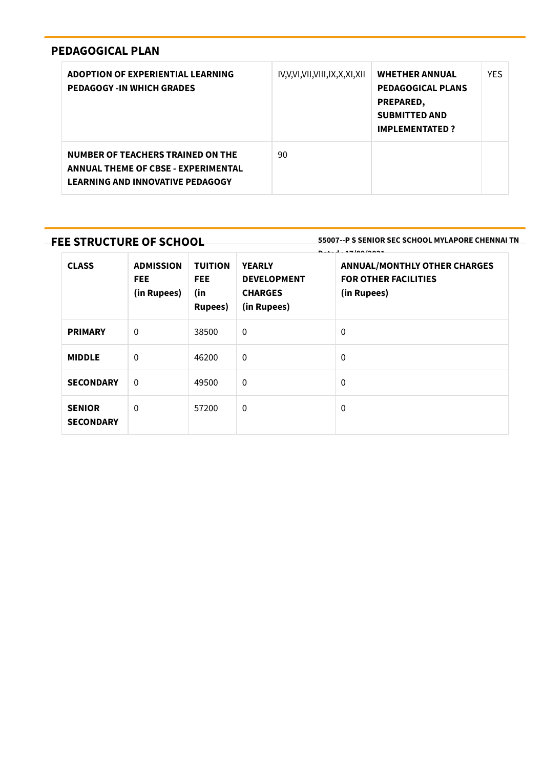# **PEDAGOGICAL PLAN**

| ADOPTION OF EXPERIENTIAL LEARNING<br><b>PEDAGOGY -IN WHICH GRADES</b>                                                      | IV,V,VI,VII,VIII,IX,X,XI,XII | <b>WHETHER ANNUAL</b><br><b>PEDAGOGICAL PLANS</b><br>PREPARED,<br><b>SUBMITTED AND</b><br><b>IMPLEMENTATED?</b> | <b>YFS</b> |
|----------------------------------------------------------------------------------------------------------------------------|------------------------------|-----------------------------------------------------------------------------------------------------------------|------------|
| NUMBER OF TEACHERS TRAINED ON THE<br><b>ANNUAL THEME OF CBSE - EXPERIMENTAL</b><br><b>LEARNING AND INNOVATIVE PEDAGOGY</b> | 90                           |                                                                                                                 |            |

# **FEE STRUCTURE OF SCHOOL**

**55007--P S SENIOR SEC SCHOOL MYLAPORE CHENNAI TN**

| <b>CLASS</b>                      | <b>ADMISSION</b><br><b>FEE</b><br>(in Rupees) | <b>TUITION</b><br><b>FEE</b><br>(in<br><b>Rupees</b> ) | <b>YEARLY</b><br><b>DEVELOPMENT</b><br><b>CHARGES</b><br>(in Rupees) | . <i>.</i> .<br><b>ANNUAL/MONTHLY OTHER CHARGES</b><br><b>FOR OTHER FACILITIES</b><br>(in Rupees) |
|-----------------------------------|-----------------------------------------------|--------------------------------------------------------|----------------------------------------------------------------------|---------------------------------------------------------------------------------------------------|
| <b>PRIMARY</b>                    | $\mathbf{0}$                                  | 38500                                                  | 0                                                                    | $\mathbf 0$                                                                                       |
| <b>MIDDLE</b>                     | 0                                             | 46200                                                  | 0                                                                    | $\mathbf 0$                                                                                       |
| <b>SECONDARY</b>                  | $\mathbf{0}$                                  | 49500                                                  | 0                                                                    | $\mathbf 0$                                                                                       |
| <b>SENIOR</b><br><b>SECONDARY</b> | 0                                             | 57200                                                  | 0                                                                    | $\mathbf 0$                                                                                       |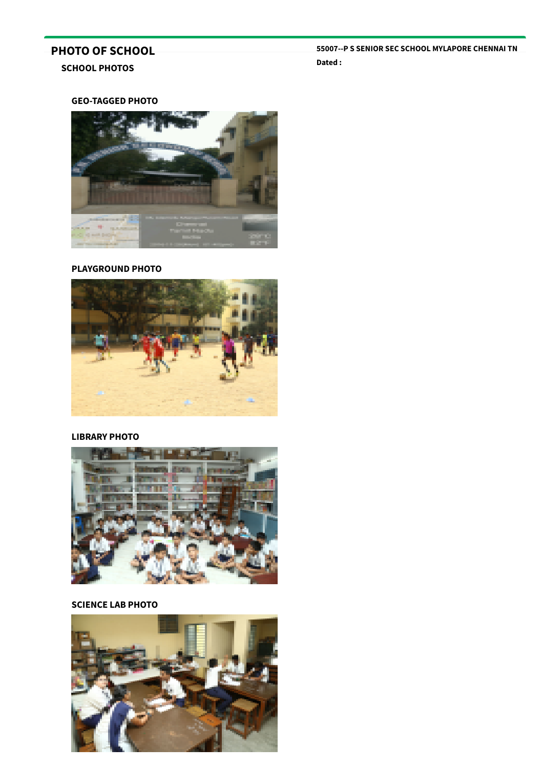# **PHOTO OF SCHOOL**

**55007--P S SENIOR SEC SCHOOL MYLAPORE CHENNAI TN Dated :**

**SCHOOL PHOTOS**

### **GEO-TAGGED PHOTO**



#### **PLAYGROUND PHOTO**



### **LIBRARY PHOTO**



#### **SCIENCE LAB PHOTO**

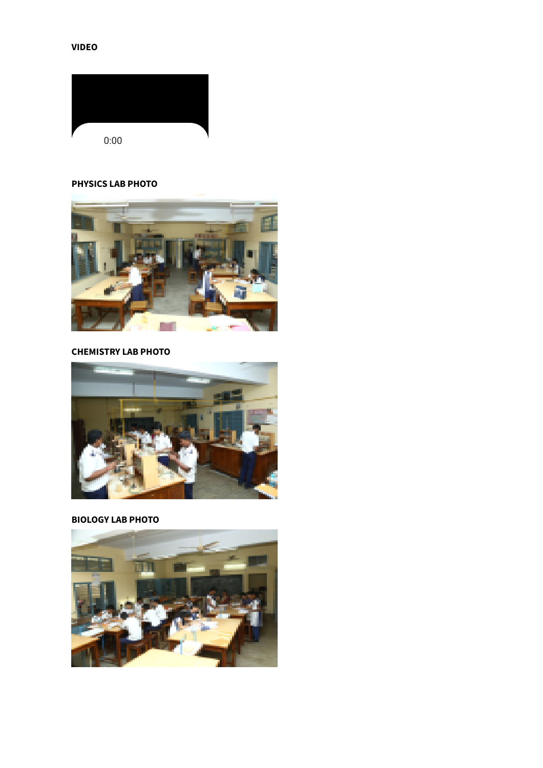## **VIDEO**



## **PHYSICS LAB PHOTO**



#### **CHEMISTRY LAB PHOTO**



## **BIOLOGY LAB PHOTO**

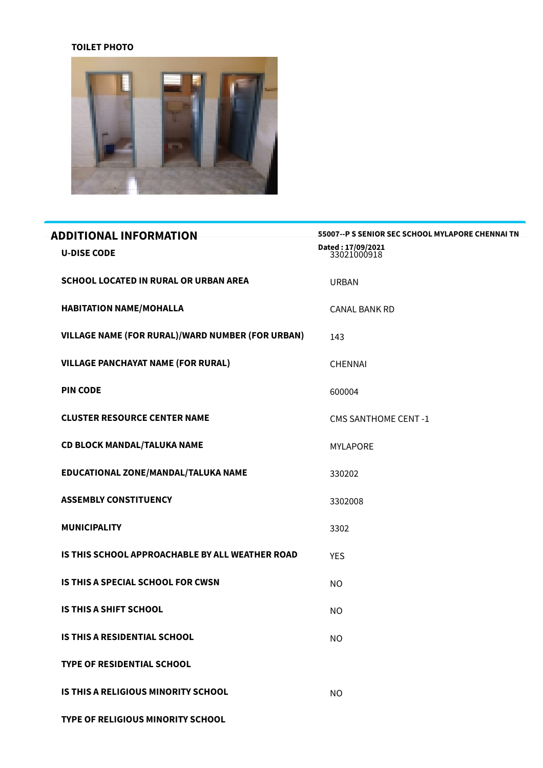## **TOILET PHOTO**



| <b>ADDITIONAL INFORMATION</b>                           | 55007--P S SENIOR SEC SCHOOL MYLAPORE CHENNAI TN |
|---------------------------------------------------------|--------------------------------------------------|
| <b>U-DISE CODE</b>                                      | Dated: 17/09/2021<br>33021000918                 |
| <b>SCHOOL LOCATED IN RURAL OR URBAN AREA</b>            | <b>URBAN</b>                                     |
| <b>HABITATION NAME/MOHALLA</b>                          | <b>CANAL BANK RD</b>                             |
| <b>VILLAGE NAME (FOR RURAL)/WARD NUMBER (FOR URBAN)</b> | 143                                              |
| <b>VILLAGE PANCHAYAT NAME (FOR RURAL)</b>               | <b>CHENNAI</b>                                   |
| <b>PIN CODE</b>                                         | 600004                                           |
| <b>CLUSTER RESOURCE CENTER NAME</b>                     | <b>CMS SANTHOME CENT-1</b>                       |
| <b>CD BLOCK MANDAL/TALUKA NAME</b>                      | <b>MYLAPORE</b>                                  |
| EDUCATIONAL ZONE/MANDAL/TALUKA NAME                     | 330202                                           |
| <b>ASSEMBLY CONSTITUENCY</b>                            | 3302008                                          |
| <b>MUNICIPALITY</b>                                     | 3302                                             |
| IS THIS SCHOOL APPROACHABLE BY ALL WEATHER ROAD         | <b>YES</b>                                       |
| <b>IS THIS A SPECIAL SCHOOL FOR CWSN</b>                | <b>NO</b>                                        |
| IS THIS A SHIFT SCHOOL                                  | <b>NO</b>                                        |
| IS THIS A RESIDENTIAL SCHOOL                            | <b>NO</b>                                        |
| <b>TYPE OF RESIDENTIAL SCHOOL</b>                       |                                                  |
| <b>IS THIS A RELIGIOUS MINORITY SCHOOL</b>              | <b>NO</b>                                        |

**TYPE OF RELIGIOUS MINORITY SCHOOL**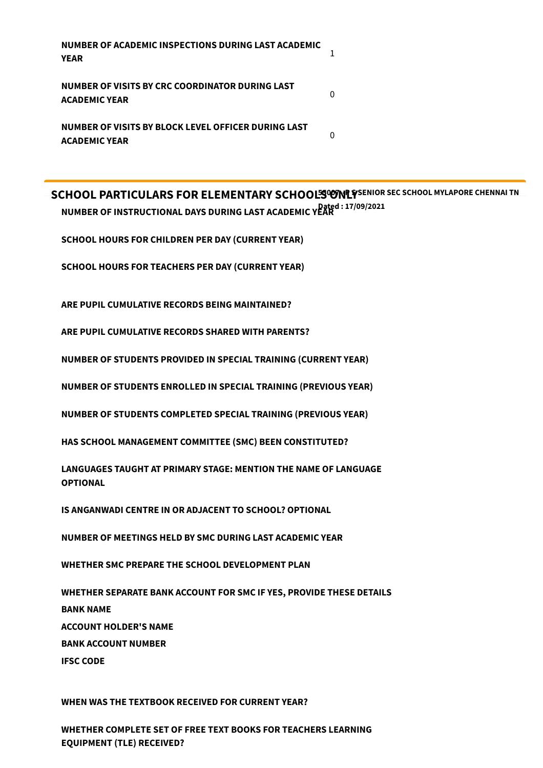**NUMBER OF ACADEMIC INSPECTIONS DURING LAST ACADEMIC YEAR** 1

**NUMBER OF VISITS BY CRC COORDINATOR DURING LAST ACADEMIC YEAR**

**NUMBER OF VISITS BY BLOCK LEVEL OFFICER DURING LAST ACADEMIC YEAR**

 $SCHOOL$  PARTICULARS FOR ELEMENTARY SCHOOLS<sup>S</sup>OONLYSENIOR SEC SCHOOL MYLAPORE CHENNAI TN **Dated : 17/09/2021 NUMBER OF INSTRUCTIONAL DAYS DURING LAST ACADEMIC YEAR**

 $\Omega$ 

 $\Omega$ 

**SCHOOL HOURS FOR CHILDREN PER DAY (CURRENT YEAR)**

**SCHOOL HOURS FOR TEACHERS PER DAY (CURRENT YEAR)**

**ARE PUPIL CUMULATIVE RECORDS BEING MAINTAINED?**

**ARE PUPIL CUMULATIVE RECORDS SHARED WITH PARENTS?**

**NUMBER OF STUDENTS PROVIDED IN SPECIAL TRAINING (CURRENT YEAR)**

**NUMBER OF STUDENTS ENROLLED IN SPECIAL TRAINING (PREVIOUS YEAR)**

**NUMBER OF STUDENTS COMPLETED SPECIAL TRAINING (PREVIOUS YEAR)**

**HAS SCHOOL MANAGEMENT COMMITTEE (SMC) BEEN CONSTITUTED?**

**LANGUAGES TAUGHT AT PRIMARY STAGE: MENTION THE NAME OF LANGUAGE OPTIONAL**

**IS ANGANWADI CENTRE IN OR ADJACENT TO SCHOOL? OPTIONAL**

**NUMBER OF MEETINGS HELD BY SMC DURING LAST ACADEMIC YEAR**

**WHETHER SMC PREPARE THE SCHOOL DEVELOPMENT PLAN**

**WHETHER SEPARATE BANK ACCOUNT FOR SMC IF YES, PROVIDE THESE DETAILS BANK NAME ACCOUNT HOLDER'S NAME BANK ACCOUNT NUMBER IFSC CODE**

**WHEN WAS THE TEXTBOOK RECEIVED FOR CURRENT YEAR?**

**WHETHER COMPLETE SET OF FREE TEXT BOOKS FOR TEACHERS LEARNING EQUIPMENT (TLE) RECEIVED?**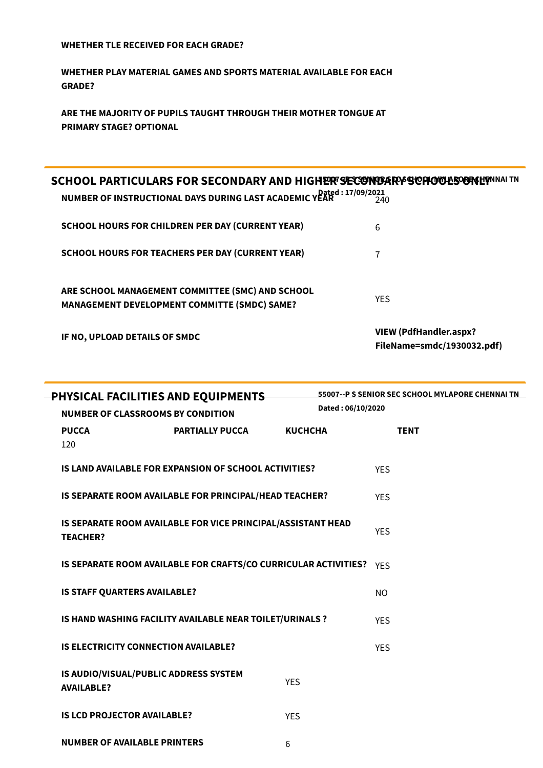### **WHETHER TLE RECEIVED FOR EACH GRADE?**

**WHETHER PLAY MATERIAL GAMES AND SPORTS MATERIAL AVAILABLE FOR EACH GRADE?**

**ARE THE MAJORITY OF PUPILS TAUGHT THROUGH THEIR MOTHER TONGUE AT PRIMARY STAGE? OPTIONAL**

| SCHOOL PARTICULARS FOR SECONDARY AND HIGHER SECONDARY SUPPOMERY POPULS<br>NUMBER OF INSTRUCTIONAL DAYS DURING LAST ACADEMIC YEAR 17/09/2021 |                                                      |
|---------------------------------------------------------------------------------------------------------------------------------------------|------------------------------------------------------|
| <b>SCHOOL HOURS FOR CHILDREN PER DAY (CURRENT YEAR)</b>                                                                                     | 6                                                    |
| <b>SCHOOL HOURS FOR TEACHERS PER DAY (CURRENT YEAR)</b>                                                                                     |                                                      |
| ARE SCHOOL MANAGEMENT COMMITTEE (SMC) AND SCHOOL<br><b>MANAGEMENT DEVELOPMENT COMMITTE (SMDC) SAME?</b>                                     | <b>YFS</b>                                           |
| IF NO, UPLOAD DETAILS OF SMDC                                                                                                               | VIEW (PdfHandler.aspx?<br>FileName=smdc/1930032.pdf) |

| PHYSICAL FACILITIES AND EQUIPMENTS<br><b>NUMBER OF CLASSROOMS BY CONDITION</b> |                                                            | Dated: 06/10/2020                                                   |                | 55007--P S SENIOR SEC SCHOOL MYLAPORE CHENNAI TN |                |  |  |
|--------------------------------------------------------------------------------|------------------------------------------------------------|---------------------------------------------------------------------|----------------|--------------------------------------------------|----------------|--|--|
|                                                                                | <b>PUCCA</b><br>120                                        | <b>PARTIALLY PUCCA</b>                                              | <b>KUCHCHA</b> |                                                  | <b>TENT</b>    |  |  |
|                                                                                |                                                            | IS LAND AVAILABLE FOR EXPANSION OF SCHOOL ACTIVITIES?               |                |                                                  | <b>YES</b>     |  |  |
|                                                                                |                                                            | IS SEPARATE ROOM AVAILABLE FOR PRINCIPAL/HEAD TEACHER?              |                |                                                  | <b>YES</b>     |  |  |
|                                                                                | <b>TEACHER?</b>                                            | IS SEPARATE ROOM AVAILABLE FOR VICE PRINCIPAL/ASSISTANT HEAD        |                |                                                  | <b>YES</b>     |  |  |
|                                                                                |                                                            | IS SEPARATE ROOM AVAILABLE FOR CRAFTS/CO CURRICULAR ACTIVITIES? YES |                |                                                  |                |  |  |
|                                                                                | <b>IS STAFF QUARTERS AVAILABLE?</b>                        |                                                                     |                |                                                  | N <sub>O</sub> |  |  |
|                                                                                |                                                            | IS HAND WASHING FACILITY AVAILABLE NEAR TOILET/URINALS ?            |                |                                                  | <b>YES</b>     |  |  |
|                                                                                | <b>IS ELECTRICITY CONNECTION AVAILABLE?</b>                |                                                                     |                |                                                  | <b>YES</b>     |  |  |
|                                                                                | IS AUDIO/VISUAL/PUBLIC ADDRESS SYSTEM<br><b>AVAILABLE?</b> |                                                                     | <b>YES</b>     |                                                  |                |  |  |
|                                                                                | <b>IS LCD PROJECTOR AVAILABLE?</b>                         |                                                                     | <b>YES</b>     |                                                  |                |  |  |
|                                                                                | <b>NUMBER OF AVAILABLE PRINTERS</b>                        |                                                                     | 6              |                                                  |                |  |  |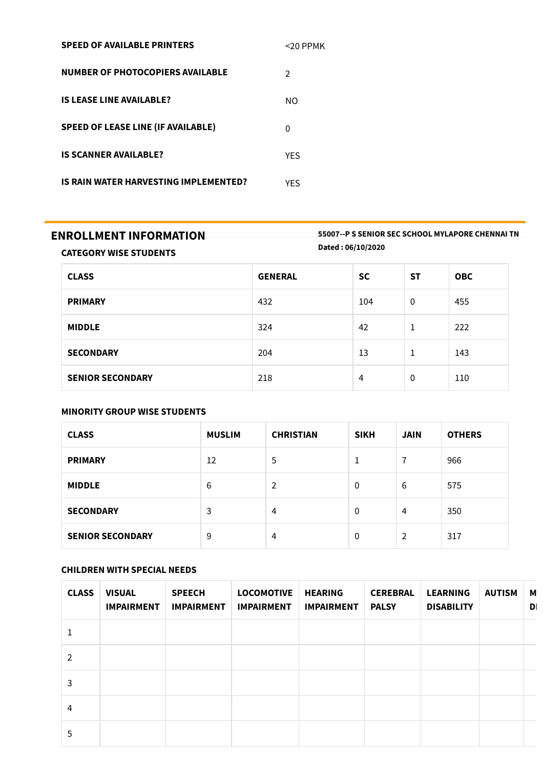| <b>SPEED OF AVAILABLE PRINTERS</b>        | <20 PPMK       |
|-------------------------------------------|----------------|
| <b>NUMBER OF PHOTOCOPIERS AVAILABLE</b>   | $\mathfrak{D}$ |
| <b>IS LEASE LINE AVAILABLE?</b>           | NΟ             |
| <b>SPEED OF LEASE LINE (IF AVAILABLE)</b> | 0              |
| <b>IS SCANNER AVAILABLE?</b>              | YFS            |
| IS RAIN WATER HARVESTING IMPLEMENTED?     | YFS            |

**ENROLLMENT INFORMATION 55007--P <sup>S</sup> SENIOR SEC SCHOOL MYLAPORE CHENNAI TN Dated : 06/10/2020**

**CATEGORY WISE STUDENTS**

| <b>CLASS</b>            | <b>GENERAL</b> | <b>SC</b> | <b>ST</b> | <b>OBC</b> |
|-------------------------|----------------|-----------|-----------|------------|
| <b>PRIMARY</b>          | 432            | 104       | 0         | 455        |
| <b>MIDDLE</b>           | 324            | 42        | 1         | 222        |
| <b>SECONDARY</b>        | 204            | 13        | 1         | 143        |
| <b>SENIOR SECONDARY</b> | 218            | 4         | 0         | 110        |

## **MINORITY GROUP WISE STUDENTS**

| <b>CLASS</b>            | <b>MUSLIM</b> | <b>CHRISTIAN</b> | <b>SIKH</b>  | <b>JAIN</b> | <b>OTHERS</b> |
|-------------------------|---------------|------------------|--------------|-------------|---------------|
| <b>PRIMARY</b>          | 12            | 5                | 1            | 7           | 966           |
| <b>MIDDLE</b>           | 6             | $\overline{2}$   | $\mathbf{0}$ | 6           | 575           |
| <b>SECONDARY</b>        | 3             | 4                | 0            | 4           | 350           |
| <b>SENIOR SECONDARY</b> | 9             | 4                | 0            | 2           | 317           |

## **CHILDREN WITH SPECIAL NEEDS**

| <b>CLASS</b> | <b>VISUAL</b><br><b>IMPAIRMENT</b> | <b>SPEECH</b><br><b>IMPAIRMENT</b> | <b>LOCOMOTIVE</b><br><b>IMPAIRMENT</b> | <b>HEARING</b><br><b>IMPAIRMENT</b> | <b>CEREBRAL</b><br><b>PALSY</b> | <b>LEARNING</b><br><b>DISABILITY</b> | <b>AUTISM</b> | M<br>D |
|--------------|------------------------------------|------------------------------------|----------------------------------------|-------------------------------------|---------------------------------|--------------------------------------|---------------|--------|
|              |                                    |                                    |                                        |                                     |                                 |                                      |               |        |
| 2            |                                    |                                    |                                        |                                     |                                 |                                      |               |        |
| 3            |                                    |                                    |                                        |                                     |                                 |                                      |               |        |
| 4            |                                    |                                    |                                        |                                     |                                 |                                      |               |        |
| 5            |                                    |                                    |                                        |                                     |                                 |                                      |               |        |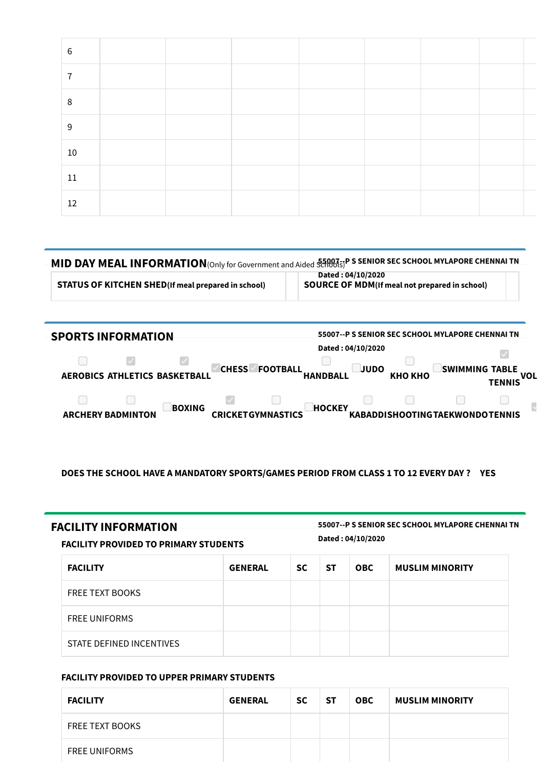| 6       |  |  |  |  |
|---------|--|--|--|--|
| 7       |  |  |  |  |
| $\,8\,$ |  |  |  |  |
| $9\,$   |  |  |  |  |
| $10\,$  |  |  |  |  |
| 11      |  |  |  |  |
| 12      |  |  |  |  |

|                                                           | <b>MID DAY MEAL INFORMATION</b> (Only for Government and Aided Schools) PS SENIOR SEC SCHOOL MYLAPORE CHENNAI TN |
|-----------------------------------------------------------|------------------------------------------------------------------------------------------------------------------|
| <b>STATUS OF KITCHEN SHED(If meal prepared in school)</b> | Dated : 04/10/2020<br><b>SOURCE OF MDM</b> (If meal not prepared in school)                                      |

| <b>SPORTS INFORMATION</b>                 | 55007--P S SENIOR SEC SCHOOL MYLAPORE CHENNAI TN                                   |                                        |
|-------------------------------------------|------------------------------------------------------------------------------------|----------------------------------------|
|                                           | Dated: 04/10/2020                                                                  |                                        |
| AEROBICS ATHLETICS BASKETBALL             | <b>CHESS</b><br><b>FOOTBALL</b><br><b>JUDO</b><br>KHO KHO<br><b>HANDBALL</b>       | <b>SWIMMING TABLE</b><br>VOL<br>TENNIS |
| <b>BOXING</b><br><b>ARCHERY BADMINTON</b> | <b>HOCKEY</b><br><b>CRICKETGYMNASTICS</b><br><b>KABADDISHOOTINGTAEKWONDOTENNIS</b> |                                        |

**DOES THE SCHOOL HAVE A MANDATORY SPORTS/GAMES PERIOD FROM CLASS 1 TO 12 EVERY DAY ? YES**

**FACILITY INFORMATION 55007--P <sup>S</sup> SENIOR SEC SCHOOL MYLAPORE CHENNAI TN Dated : 04/10/2020**

**FACILITY PROVIDED TO PRIMARY STUDENTS**

| <b>FACILITY</b>          | <b>GENERAL</b> | <b>SC</b> | <b>ST</b> | <b>OBC</b> | <b>MUSLIM MINORITY</b> |
|--------------------------|----------------|-----------|-----------|------------|------------------------|
| <b>FREE TEXT BOOKS</b>   |                |           |           |            |                        |
| <b>FREE UNIFORMS</b>     |                |           |           |            |                        |
| STATE DEFINED INCENTIVES |                |           |           |            |                        |

## **FACILITY PROVIDED TO UPPER PRIMARY STUDENTS**

| <b>FACILITY</b>        | <b>GENERAL</b> | <b>SC</b> | -ST | <b>OBC</b> | <b>MUSLIM MINORITY</b> |
|------------------------|----------------|-----------|-----|------------|------------------------|
| <b>FREE TEXT BOOKS</b> |                |           |     |            |                        |
| <b>FREE UNIFORMS</b>   |                |           |     |            |                        |